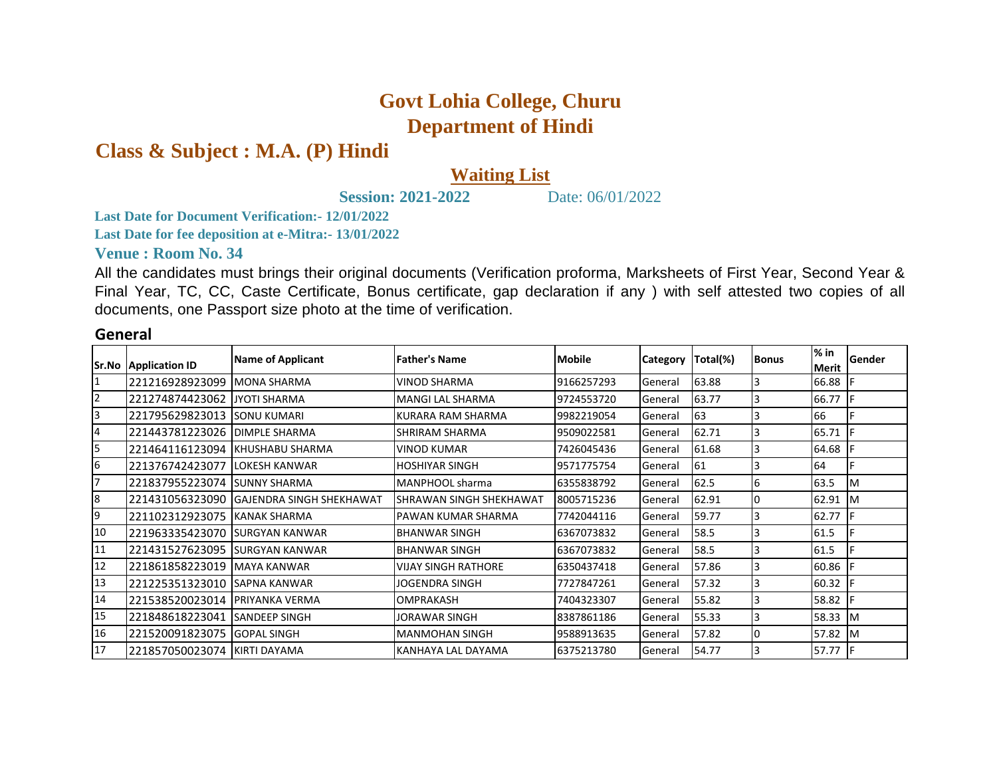## **Govt Lohia College, Churu Department of Hindi**

**Class & Subject : M.A. (P) Hindi**

## **Waiting List**

**Session: 2021-2022** Date: 06/01/2022

**Last Date for Document Verification:- 12/01/2022**

**Last Date for fee deposition at e-Mitra:- 13/01/2022**

## **Venue : Room No. 34**

All the candidates must brings their original documents (Verification proforma, Marksheets of First Year, Second Year & Final Year, TC, CC, Caste Certificate, Bonus certificate, gap declaration if any ) with self attested two copies of all documents, one Passport size photo at the time of verification.

## **General**

| Sr.No            | <b>Application ID</b> | <b>Name of Applicant</b>         | <b>Father's Name</b>       | <b>Mobile</b> | <b>Category</b> | Total(%) | <b>Bonus</b> | $%$ in<br><b>Merit</b> | Gender    |
|------------------|-----------------------|----------------------------------|----------------------------|---------------|-----------------|----------|--------------|------------------------|-----------|
| $\mathbf{1}$     | 221216928923099       | <b>MONA SHARMA</b>               | <b>VINOD SHARMA</b>        | 9166257293    | General         | 63.88    |              | 66.88                  |           |
| $\overline{2}$   | 221274874423062       | <b>JYOTI SHARMA</b>              | <b>MANGI LAL SHARMA</b>    | 9724553720    | General         | 63.77    |              | 66.77                  |           |
| 3                | 221795629823013       | <b>SONU KUMARI</b>               | KURARA RAM SHARMA          | 9982219054    | General         | 63       |              | 66                     |           |
| 4                | 221443781223026       | <b>DIMPLE SHARMA</b>             | SHRIRAM SHARMA             | 9509022581    | General         | 62.71    |              | 65.71                  |           |
| 5                | 221464116123094       | <b>KHUSHABU SHARMA</b>           | <b>VINOD KUMAR</b>         | 7426045436    | General         | 61.68    |              | 64.68                  |           |
| $6\overline{6}$  | 221376742423077       | <b>LOKESH KANWAR</b>             | <b>HOSHIYAR SINGH</b>      | 9571775754    | General         | 61       |              | 64                     |           |
| $\overline{7}$   | 221837955223074       | <b>SUNNY SHARMA</b>              | MANPHOOL sharma            | 6355838792    | General         | 62.5     | 6            | 63.5                   | M         |
| $\boldsymbol{8}$ | 221431056323090       | <b>IGAJENDRA SINGH SHEKHAWAT</b> | SHRAWAN SINGH SHEKHAWAT    | 8005715236    | General         | 62.91    |              | 62.91                  | Iм        |
| 9                | 221102312923075       | KANAK SHARMA                     | PAWAN KUMAR SHARMA         | 7742044116    | General         | 59.77    |              | 62.77                  |           |
| 10               | 221963335423070       | <b>SURGYAN KANWAR</b>            | <b>BHANWAR SINGH</b>       | 6367073832    | General         | 58.5     |              | 61.5                   |           |
| 11               | 221431527623095       | <b>ISURGYAN KANWAR</b>           | <b>BHANWAR SINGH</b>       | 6367073832    | General         | 58.5     |              | 61.5                   |           |
| 12               | 221861858223019       | <b>MAYA KANWAR</b>               | <b>VIJAY SINGH RATHORE</b> | 6350437418    | General         | 57.86    |              | 60.86                  |           |
| 13               | 221225351323010       | <b>SAPNA KANWAR</b>              | JOGENDRA SINGH             | 7727847261    | General         | 57.32    |              | 60.32                  |           |
| 14               | 221538520023014       | <b>PRIYANKA VERMA</b>            | <b>OMPRAKASH</b>           | 7404323307    | General         | 55.82    |              | 58.82                  |           |
| 15               | 221848618223041       | <b>SANDEEP SINGH</b>             | JORAWAR SINGH              | 8387861186    | General         | 55.33    |              | 58.33                  | <b>IM</b> |
| 16               | 221520091823075       | <b>GOPAL SINGH</b>               | <b>MANMOHAN SINGH</b>      | 9588913635    | General         | 57.82    |              | 57.82                  | ΙM        |
| 17               | 221857050023074       | KIRTI DAYAMA                     | KANHAYA LAL DAYAMA         | 6375213780    | General         | 54.77    |              | 57.77                  |           |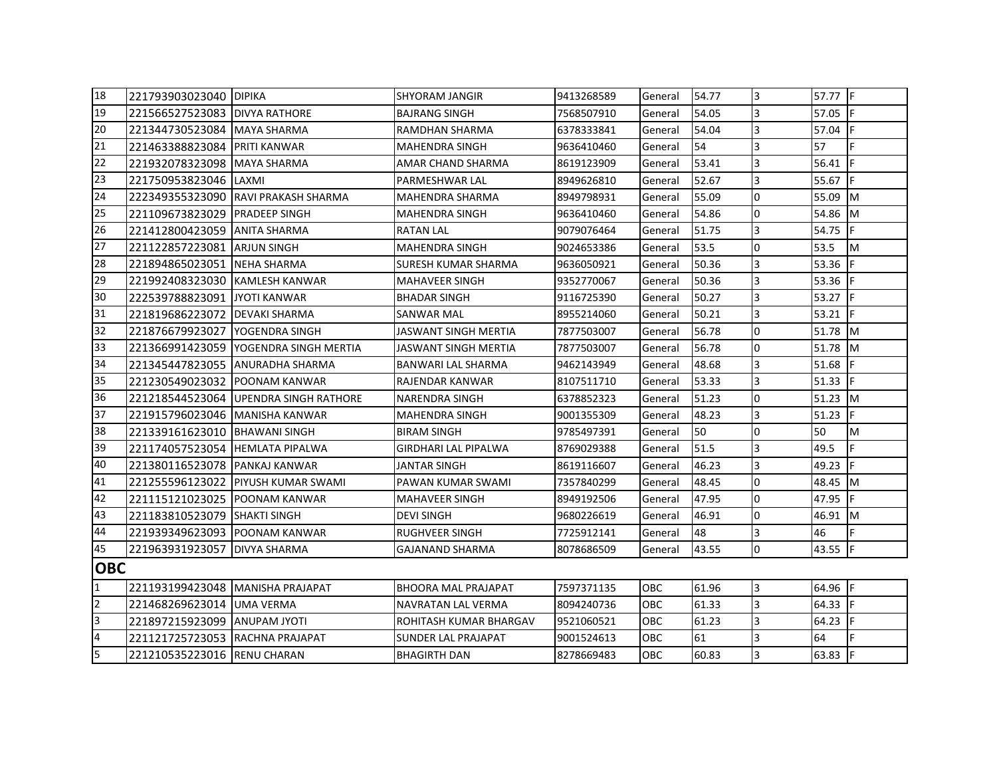| 18             | 221793903023040 DIPIKA           |                               | <b>SHYORAM JANGIR</b>       | 9413268589 | General    | 54.77 | 3              | 57.77 F   |            |
|----------------|----------------------------------|-------------------------------|-----------------------------|------------|------------|-------|----------------|-----------|------------|
| 19             | 221566527523083                  | <b>DIVYA RATHORE</b>          | <b>BAJRANG SINGH</b>        | 7568507910 | General    | 54.05 | 3              | 57.05     | IF.        |
| 20             | 221344730523084 MAYA SHARMA      |                               | RAMDHAN SHARMA              | 6378333841 | General    | 54.04 | $\overline{3}$ | 57.04     | lF.        |
| 21             | 221463388823084                  | <b>PRITI KANWAR</b>           | <b>MAHENDRA SINGH</b>       | 9636410460 | General    | 54    | 3              | 57        | F.         |
| 22             | 221932078323098 MAYA SHARMA      |                               | AMAR CHAND SHARMA           | 8619123909 | General    | 53.41 | 3              | 56.41     |            |
| 23             | 221750953823046 LAXMI            |                               | PARMESHWAR LAL              | 8949626810 | General    | 52.67 | 3              | 55.67     | IF.        |
| 24             | 222349355323090                  | <b>RAVI PRAKASH SHARMA</b>    | MAHENDRA SHARMA             | 8949798931 | General    | 55.09 | 0              | 55.09     | IM.        |
| 25             | 221109673823029                  | <b>PRADEEP SINGH</b>          | <b>MAHENDRA SINGH</b>       | 9636410460 | General    | 54.86 | $\overline{0}$ | 54.86     | <b>I</b> M |
| 26             | 221412800423059                  | <b>ANITA SHARMA</b>           | <b>RATAN LAL</b>            | 9079076464 | General    | 51.75 | 3              | 54.75     | lF.        |
| 27             | 221122857223081                  | <b>ARJUN SINGH</b>            | <b>MAHENDRA SINGH</b>       | 9024653386 | General    | 53.5  | $\overline{0}$ | 53.5      | M          |
| 28             | 221894865023051                  | <b>NEHA SHARMA</b>            | SURESH KUMAR SHARMA         | 9636050921 | General    | 50.36 | 3              | 53.36     |            |
| 29             | 221992408323030                  | <b>IKAMLESH KANWAR</b>        | <b>MAHAVEER SINGH</b>       | 9352770067 | General    | 50.36 | 3              | 53.36     | IF.        |
| 30             | 222539788823091                  | <b>JYOTI KANWAR</b>           | <b>BHADAR SINGH</b>         | 9116725390 | General    | 50.27 | 3              | 53.27     | <b>IF</b>  |
| 31             | 221819686223072                  | <b>IDEVAKI SHARMA</b>         | SANWAR MAL                  | 8955214060 | General    | 50.21 | 3              | 53.21     | IF.        |
| 32             | 221876679923027                  | YOGENDRA SINGH                | <b>JASWANT SINGH MERTIA</b> | 7877503007 | General    | 56.78 | l0             | 51.78 M   |            |
| 33             | 221366991423059                  | <b>IYOGENDRA SINGH MERTIA</b> | JASWANT SINGH MERTIA        | 7877503007 | General    | 56.78 | $\Omega$       | 51.78     | <b>I</b> M |
| 34             | 221345447823055                  | <b>JANURADHA SHARMA</b>       | BANWARI LAL SHARMA          | 9462143949 | General    | 48.68 | 3              | 51.68     |            |
| 35             | 221230549023032                  | <b>IPOONAM KANWAR</b>         | RAJENDAR KANWAR             | 8107511710 | General    | 53.33 | 3              | 51.33     | IF         |
| 36             | 221218544523064                  | <b>UPENDRA SINGH RATHORE</b>  | <b>NARENDRA SINGH</b>       | 6378852323 | General    | 51.23 | <sup>o</sup>   | $51.23$ M |            |
| 37             | 221915796023046                  | MANISHA KANWAR                | <b>MAHENDRA SINGH</b>       | 9001355309 | General    | 48.23 | $\overline{3}$ | 51.23     |            |
| 38             | 221339161623010                  | <b>IBHAWANI SINGH</b>         | <b>BIRAM SINGH</b>          | 9785497391 | General    | 50    | $\Omega$       | 50        | M          |
| 39             | 221174057523054 HEMLATA PIPALWA  |                               | <b>GIRDHARI LAL PIPALWA</b> | 8769029388 | General    | 51.5  | 3              | 49.5      | F.         |
| 40             | 221380116523078 PANKAJ KANWAR    |                               | JANTAR SINGH                | 8619116607 | General    | 46.23 | $\overline{3}$ | 49.23     | lF.        |
| 41             | 221255596123022                  | <b>PIYUSH KUMAR SWAMI</b>     | PAWAN KUMAR SWAMI           | 7357840299 | General    | 48.45 | $\overline{0}$ | 48.45     | M          |
| 42             | 221115121023025                  | <b>IPOONAM KANWAR</b>         | <b>MAHAVEER SINGH</b>       | 8949192506 | General    | 47.95 | $\overline{0}$ | 47.95     | IF.        |
| 43             | 221183810523079                  | <b>SHAKTI SINGH</b>           | <b>DEVI SINGH</b>           | 9680226619 | General    | 46.91 | $\overline{0}$ | 46.91     | Iм         |
| 44             | 221939349623093                  | <b>POONAM KANWAR</b>          | <b>RUGHVEER SINGH</b>       | 7725912141 | General    | 48    | 3              | 46        |            |
| 45             | 221963931923057                  | <b>DIVYA SHARMA</b>           | <b>GAJANAND SHARMA</b>      | 8078686509 | General    | 43.55 | 0              | 43.55     | IF.        |
| <b>OBC</b>     |                                  |                               |                             |            |            |       |                |           |            |
| 1              | 221193199423048 MANISHA PRAJAPAT |                               | <b>BHOORA MAL PRAJAPAT</b>  | 7597371135 | <b>OBC</b> | 61.96 | 3              | 64.96 F   |            |
| $\overline{2}$ | 221468269623014 UMA VERMA        |                               | NAVRATAN LAL VERMA          | 8094240736 | OBC        | 61.33 | 3              | 64.33 F   |            |
| 3              | 221897215923099                  | <b>ANUPAM JYOTI</b>           | ROHITASH KUMAR BHARGAV      | 9521060521 | OBC        | 61.23 | 3              | 64.23     | IF.        |
| 4              | 221121725723053                  | RACHNA PRAJAPAT               | SUNDER LAL PRAJAPAT         | 9001524613 | OBC        | 61    | 3              | 64        | F          |
| 5              | 221210535223016 RENU CHARAN      |                               | <b>BHAGIRTH DAN</b>         | 8278669483 | OBC        | 60.83 | 3              | 63.83     | IF.        |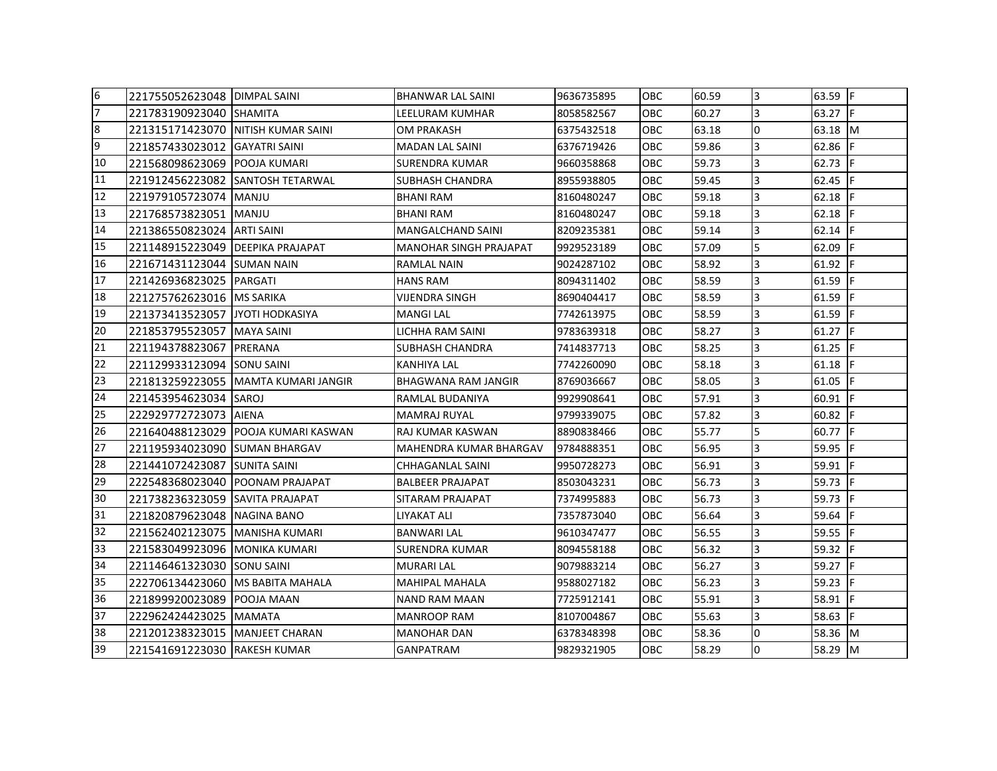| 6  | 221755052623048 IDIMPAL SAINI       |                                     | BHANWAR LAL SAINI             | 9636735895 | OBC        | 60.59 | 3              | $63.59$ F       |     |
|----|-------------------------------------|-------------------------------------|-------------------------------|------------|------------|-------|----------------|-----------------|-----|
| 7  | 221783190923040 SHAMITA             |                                     | LEELURAM KUMHAR               | 8058582567 | <b>OBC</b> | 60.27 | 3              | 63.27 $\vert$ F |     |
| 8  | 221315171423070 INITISH KUMAR SAINI |                                     | OM PRAKASH                    | 6375432518 | <b>OBC</b> | 63.18 | $\overline{0}$ | 63.18 M         |     |
| 9  | 221857433023012 GAYATRI SAINI       |                                     | <b>MADAN LAL SAINI</b>        | 6376719426 | OBC        | 59.86 | 3              | 62.86 F         |     |
| 10 | 221568098623069 POOJA KUMARI        |                                     | SURENDRA KUMAR                | 9660358868 | OBC        | 59.73 | 3              | 62.73 F         |     |
| 11 |                                     | 221912456223082 SANTOSH TETARWAL    | SUBHASH CHANDRA               | 8955938805 | OBC.       | 59.45 | 3              | 62.45           |     |
| 12 | 221979105723074 MANJU               |                                     | <b>BHANI RAM</b>              | 8160480247 | <b>OBC</b> | 59.18 | 3              | 62.18           |     |
| 13 | 221768573823051                     | MANJU                               | BHANI RAM                     | 8160480247 | OBC        | 59.18 | 3              | 62.18 $ F $     |     |
| 14 | 221386550823024 ARTI SAINI          |                                     | <b>MANGALCHAND SAINI</b>      | 8209235381 | <b>OBC</b> | 59.14 | 3              | $62.14$ F       |     |
| 15 | 221148915223049 DEEPIKA PRAJAPAT    |                                     | <b>MANOHAR SINGH PRAJAPAT</b> | 9929523189 | <b>OBC</b> | 57.09 | 5              | 62.09           |     |
| 16 | 221671431123044 ISUMAN NAIN         |                                     | RAMLAL NAIN                   | 9024287102 | <b>OBC</b> | 58.92 | 3              | $61.92$ F       |     |
| 17 | 221426936823025 PARGATI             |                                     | <b>HANS RAM</b>               | 8094311402 | <b>OBC</b> | 58.59 | 3              | 61.59           |     |
| 18 | 221275762623016   MS SARIKA         |                                     | VIJENDRA SINGH                | 8690404417 | OBC        | 58.59 | 3              | 61.59           | IF. |
| 19 | 221373413523057 JJYOTI HODKASIYA    |                                     | <b>MANGI LAL</b>              | 7742613975 | <b>OBC</b> | 58.59 | 3              | 61.59           | IF. |
| 20 | 221853795523057 MAYA SAINI          |                                     | LICHHA RAM SAINI              | 9783639318 | OBC        | 58.27 | 3              | $61.27$ F       |     |
| 21 | 221194378823067                     | <b>IPRERANA</b>                     | SUBHASH CHANDRA               | 7414837713 | OBC.       | 58.25 | 3              | 61.25           |     |
| 22 | 221129933123094 SONU SAINI          |                                     | KANHIYA LAL                   | 7742260090 | <b>OBC</b> | 58.18 | 3              | $61.18$ IF      |     |
| 23 |                                     | 221813259223055 MAMTA KUMARI JANGIR | BHAGWANA RAM JANGIR           | 8769036667 | OBC        | 58.05 | 3              | 61.05           |     |
| 24 | 221453954623034 SAROJ               |                                     | RAMLAL BUDANIYA               | 9929908641 | <b>OBC</b> | 57.91 | 3              | 60.91 F         |     |
| 25 | 222929772723073 AIENA               |                                     | MAMRAJ RUYAL                  | 9799339075 | OBC        | 57.82 | 3              | 60.82           |     |
| 26 |                                     | 221640488123029 POOJA KUMARI KASWAN | RAJ KUMAR KASWAN              | 8890838466 | OBC.       | 55.77 | 5              | $60.77$ IF      |     |
| 27 | 221195934023090 ISUMAN BHARGAV      |                                     | MAHENDRA KUMAR BHARGAV        | 9784888351 | <b>OBC</b> | 56.95 | 3              | 59.95           |     |
| 28 | 221441072423087 SUNITA SAINI        |                                     | CHHAGANLAL SAINI              | 9950728273 | OBC        | 56.91 | 3              | 59.91           | E   |
| 29 | 222548368023040 POONAM PRAJAPAT     |                                     | <b>BALBEER PRAJAPAT</b>       | 8503043231 | <b>OBC</b> | 56.73 | 3              | 59.73           |     |
| 30 | 221738236323059 SAVITA PRAJAPAT     |                                     | SITARAM PRAJAPAT              | 7374995883 | <b>OBC</b> | 56.73 | 3              | 59.73           |     |
| 31 | 221820879623048 INAGINA BANO        |                                     | LIYAKAT ALI                   | 7357873040 | OBC.       | 56.64 | 3              | 59.64 F         |     |
| 32 | 221562402123075 MANISHA KUMARI      |                                     | BANWARI LAL                   | 9610347477 | OBC        | 56.55 | 3              | 59.55 F         |     |
| 33 | 221583049923096   MONIKA KUMARI     |                                     | SURENDRA KUMAR                | 8094558188 | OBC        | 56.32 | 3              | 59.32           |     |
| 34 | 221146461323030 SONU SAINI          |                                     | <b>MURARI LAL</b>             | 9079883214 | <b>OBC</b> | 56.27 | 3              | 59.27           | IF. |
| 35 | 222706134423060 MS BABITA MAHALA    |                                     | MAHIPAL MAHALA                | 9588027182 | OBC.       | 56.23 | 3              | 59.23           |     |
| 36 | 221899920023089                     | <b>POOJA MAAN</b>                   | NAND RAM MAAN                 | 7725912141 | OBC.       | 55.91 | 3              | 58.91 F         |     |
| 37 | 222962424423025 MAMATA              |                                     | MANROOP RAM                   | 8107004867 | OBC        | 55.63 | 3              | 58.63 F         |     |
| 38 | 221201238323015   MANJEET CHARAN    |                                     | <b>MANOHAR DAN</b>            | 6378348398 | OBC.       | 58.36 | $\Omega$       | 58.36 M         |     |
| 39 | 221541691223030 RAKESH KUMAR        |                                     | <b>GANPATRAM</b>              | 9829321905 | <b>OBC</b> | 58.29 | $\overline{0}$ | 58.29 M         |     |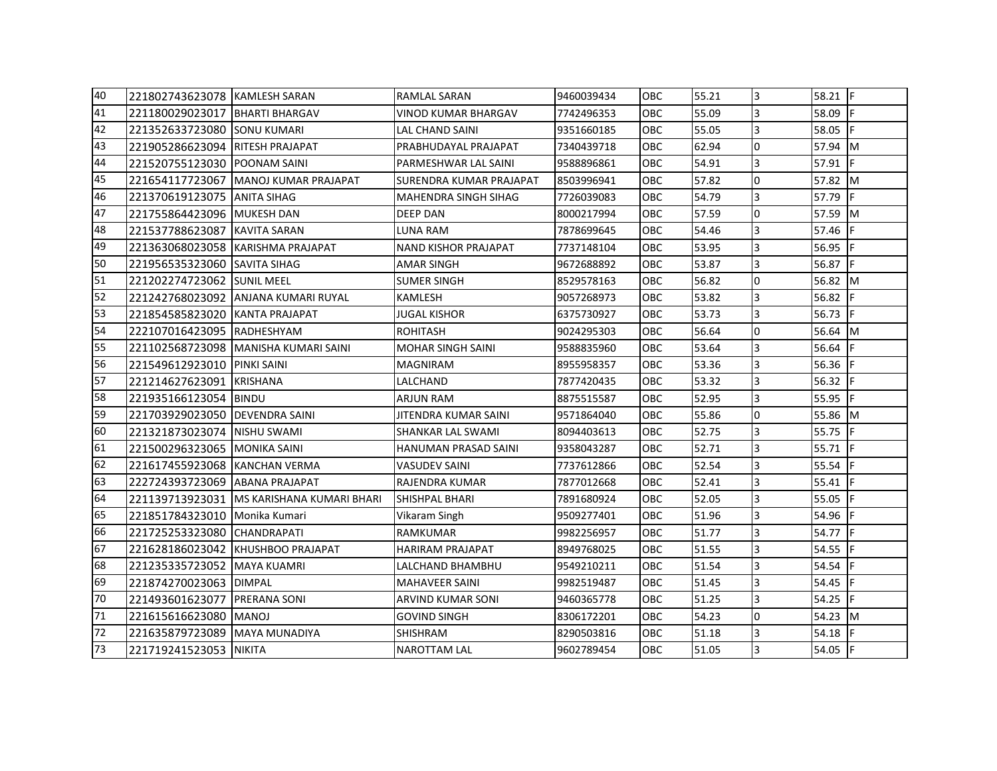| 40 | 221802743623078 KAMLESH SARAN   |                                             | RAMLAL SARAN                | 9460039434 | <b>OBC</b> | 55.21 | 3            | $58.21$ F   |     |
|----|---------------------------------|---------------------------------------------|-----------------------------|------------|------------|-------|--------------|-------------|-----|
| 41 | 221180029023017 BHARTI BHARGAV  |                                             | <b>VINOD KUMAR BHARGAV</b>  | 7742496353 | <b>OBC</b> | 55.09 | 3            | 58.09       |     |
| 42 | 221352633723080 SONU KUMARI     |                                             | LAL CHAND SAINI             | 9351660185 | <b>OBC</b> | 55.05 | 3            | 58.05       | IF. |
| 43 | 221905286623094 RITESH PRAJAPAT |                                             | PRABHUDAYAL PRAJAPAT        | 7340439718 | <b>OBC</b> | 62.94 | 0            | 57.94 M     |     |
| 44 | 221520755123030 POONAM SAINI    |                                             | PARMESHWAR LAL SAINI        | 9588896861 | <b>OBC</b> | 54.91 | 3            | $57.91$ F   |     |
| 45 | 221654117723067                 | MANOJ KUMAR PRAJAPAT                        | SURENDRA KUMAR PRAJAPAT     | 8503996941 | <b>OBC</b> | 57.82 | 0            | 57.82 M     |     |
| 46 | 221370619123075 ANITA SIHAG     |                                             | <b>MAHENDRA SINGH SIHAG</b> | 7726039083 | <b>OBC</b> | 54.79 | 3            | 57.79       | IF. |
| 47 | 221755864423096 MUKESH DAN      |                                             | <b>DEEP DAN</b>             | 8000217994 | OBC        | 57.59 | 0            | 57.59 M     |     |
| 48 | 221537788623087 KAVITA SARAN    |                                             | LUNA RAM                    | 7878699645 | <b>OBC</b> | 54.46 | 3            | 57.46 F     |     |
| 49 |                                 | 221363068023058 KARISHMA PRAJAPAT           | <b>NAND KISHOR PRAJAPAT</b> | 7737148104 | OBC        | 53.95 | 3            | 56.95 $ F $ |     |
| 50 | 221956535323060 SAVITA SIHAG    |                                             | <b>AMAR SINGH</b>           | 9672688892 | <b>OBC</b> | 53.87 | 3            | 56.87 F     |     |
| 51 | 221202274723062 SUNIL MEEL      |                                             | <b>SUMER SINGH</b>          | 8529578163 | OBC.       | 56.82 | $\Omega$     | 56.82 M     |     |
| 52 |                                 | 221242768023092 ANJANA KUMARI RUYAL         | KAMLESH                     | 9057268973 | <b>OBC</b> | 53.82 | 3            | 56.82       |     |
| 53 | 221854585823020 KANTA PRAJAPAT  |                                             | <b>JUGAL KISHOR</b>         | 6375730927 | <b>OBC</b> | 53.73 | 3            | 56.73 $F$   |     |
| 54 | 222107016423095 RADHESHYAM      |                                             | <b>ROHITASH</b>             | 9024295303 | <b>OBC</b> | 56.64 | $\Omega$     | 56.64 M     |     |
| 55 |                                 | 221102568723098 MANISHA KUMARI SAINI        | <b>MOHAR SINGH SAINI</b>    | 9588835960 | <b>OBC</b> | 53.64 | 3            | 56.64       |     |
| 56 | 221549612923010                 | <b>PINKI SAINI</b>                          | <b>MAGNIRAM</b>             | 8955958357 | OBC.       | 53.36 | 3            | 56.36 $F$   |     |
| 57 | 221214627623091                 | KRISHANA                                    | LALCHAND                    | 7877420435 | <b>OBC</b> | 53.32 | 3            | 56.32       |     |
| 58 | 221935166123054 BINDU           |                                             | <b>ARJUN RAM</b>            | 8875515587 | <b>OBC</b> | 52.95 | 3            | 55.95 F     |     |
| 59 | 221703929023050 DEVENDRA SAINI  |                                             | JITENDRA KUMAR SAINI        | 9571864040 | <b>OBC</b> | 55.86 | 0            | 55.86 M     |     |
| 60 | 221321873023074                 | NISHU SWAMI                                 | SHANKAR LAL SWAMI           | 8094403613 | <b>OBC</b> | 52.75 | 3            | 55.75       |     |
| 61 | 221500296323065 MONIKA SAINI    |                                             | HANUMAN PRASAD SAINI        | 9358043287 | OBC.       | 52.71 | 3            | 55.71  F    |     |
| 62 | 221617455923068 KANCHAN VERMA   |                                             | <b>VASUDEV SAINI</b>        | 7737612866 | <b>OBC</b> | 52.54 | 3            | 55.54       | F   |
| 63 | 222724393723069 ABANA PRAJAPAT  |                                             | RAJENDRA KUMAR              | 7877012668 | OBC        | 52.41 | 3            | 55.41 F     |     |
| 64 |                                 | 221139713923031   MS KARISHANA KUMARI BHARI | <b>SHISHPAL BHARI</b>       | 7891680924 | <b>OBC</b> | 52.05 | 3            | 55.05       |     |
| 65 | 221851784323010                 | Monika Kumari                               | Vikaram Singh               | 9509277401 | <b>OBC</b> | 51.96 | 3            | 54.96 F     |     |
| 66 | 221725253323080                 | CHANDRAPATI                                 | RAMKUMAR                    | 9982256957 | OBC        | 51.77 | 3            | 54.77 F     |     |
| 67 |                                 | 221628186023042 KHUSHBOO PRAJAPAT           | <b>HARIRAM PRAJAPAT</b>     | 8949768025 | <b>OBC</b> | 51.55 | 3            | 54.55       | F   |
| 68 | 221235335723052 MAYA KUAMRI     |                                             | LALCHAND BHAMBHU            | 9549210211 | OBC        | 51.54 | 3            | 54.54       |     |
| 69 | 221874270023063                 | <b>DIMPAL</b>                               | <b>MAHAVEER SAINI</b>       | 9982519487 | <b>OBC</b> | 51.45 | 3            | 54.45       | IF. |
| 70 | 221493601623077                 | PRERANA SONI                                | ARVIND KUMAR SONI           | 9460365778 | OBC.       | 51.25 | 3            | 54.25       | IF. |
| 71 | 221615616623080                 | <b>MANOJ</b>                                | <b>GOVIND SINGH</b>         | 8306172201 | OBC        | 54.23 | $\mathbf{0}$ | 54.23 M     |     |
| 72 | 221635879723089 MAYA MUNADIYA   |                                             | SHISHRAM                    | 8290503816 | OBC        | 51.18 | 3            | 54.18       |     |
| 73 | 221719241523053 NIKITA          |                                             | <b>NAROTTAM LAL</b>         | 9602789454 | <b>OBC</b> | 51.05 | 3            | 54.05 F     |     |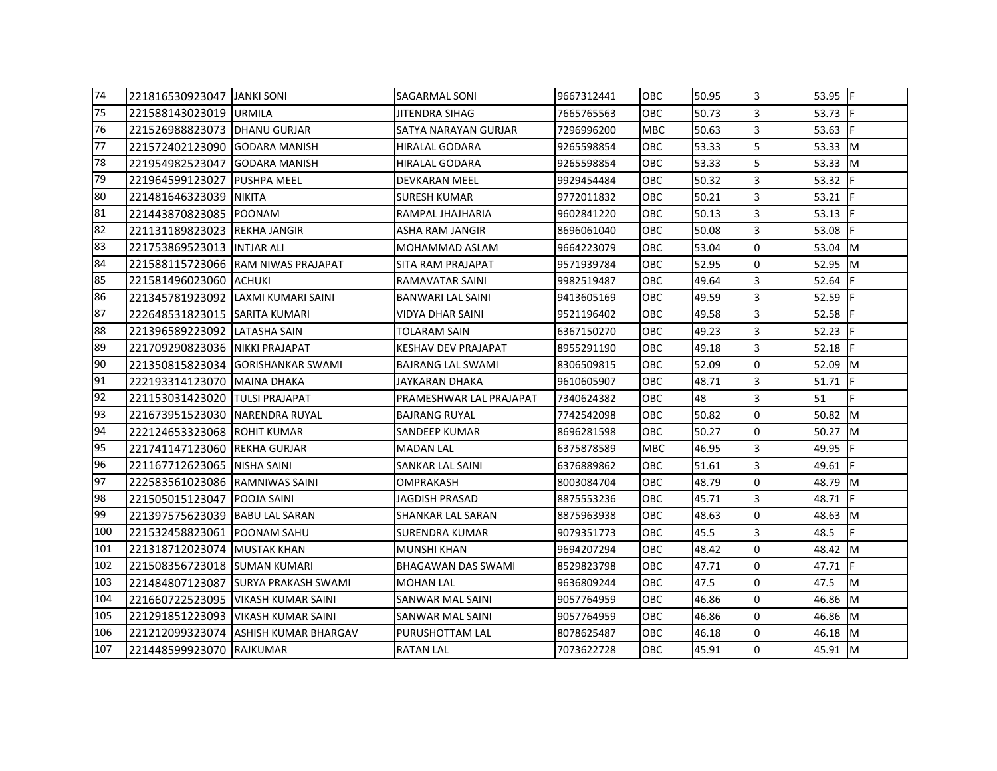| 74  | 221816530923047 JANKI SONI     |                                      | <b>SAGARMAL SONI</b>      | 9667312441 | <b>OBC</b> | 50.95 | l3             | $53.95$ F          |     |
|-----|--------------------------------|--------------------------------------|---------------------------|------------|------------|-------|----------------|--------------------|-----|
| 75  | 221588143023019 URMILA         |                                      | JITENDRA SIHAG            | 7665765563 | <b>OBC</b> | 50.73 | 3              | 53.73 $\mathsf{F}$ |     |
| 76  | 221526988823073 DHANU GURJAR   |                                      | SATYA NARAYAN GURJAR      | 7296996200 | <b>MBC</b> | 50.63 | 3              | 53.63 F            |     |
| 77  | 221572402123090 GODARA MANISH  |                                      | HIRALAL GODARA            | 9265598854 | <b>OBC</b> | 53.33 | 5              | 53.33 M            |     |
| 78  | 221954982523047 GODARA MANISH  |                                      | HIRALAL GODARA            | 9265598854 | <b>OBC</b> | 53.33 | 5              | 53.33 M            |     |
| 79  | 221964599123027                | <b>PUSHPA MEEL</b>                   | DEVKARAN MEEL             | 9929454484 | OBC        | 50.32 | 3              | 53.32 F            |     |
| 80  | 221481646323039 NIKITA         |                                      | <b>SURESH KUMAR</b>       | 9772011832 | <b>OBC</b> | 50.21 | 3              | 53.21              |     |
| 81  | 221443870823085 POONAM         |                                      | RAMPAL JHAJHARIA          | 9602841220 | OBC        | 50.13 | 3              | 53.13              |     |
| 82  | 221131189823023 REKHA JANGIR   |                                      | ASHA RAM JANGIR           | 8696061040 | <b>OBC</b> | 50.08 | 3              | 53.08              | IF. |
| 83  | 221753869523013 INTJAR ALI     |                                      | MOHAMMAD ASLAM            | 9664223079 | <b>OBC</b> | 53.04 | l0             | 53.04 M            |     |
| 84  |                                | 221588115723066 RAM NIWAS PRAJAPAT   | SITA RAM PRAJAPAT         | 9571939784 | OBC        | 52.95 | l0             | 52.95 M            |     |
| 85  | 221581496023060 ACHUKI         |                                      | RAMAVATAR SAINI           | 9982519487 | <b>OBC</b> | 49.64 | 3              | 52.64              |     |
| 86  |                                | 221345781923092 LAXMI KUMARI SAINI   | BANWARI LAL SAINI         | 9413605169 | <b>OBC</b> | 49.59 | 3              | 52.59              |     |
| 87  | 222648531823015 SARITA KUMARI  |                                      | VIDYA DHAR SAINI          | 9521196402 | <b>OBC</b> | 49.58 | 3              | 52.58              | IF. |
| 88  | 221396589223092 LATASHA SAIN   |                                      | TOLARAM SAIN              | 6367150270 | <b>OBC</b> | 49.23 | 3              | $52.23$ F          |     |
| 89  | 221709290823036 NIKKI PRAJAPAT |                                      | KESHAV DEV PRAJAPAT       | 8955291190 | <b>OBC</b> | 49.18 | 3              | 52.18              | IF. |
| 90  |                                | 221350815823034 GORISHANKAR SWAMI    | BAJRANG LAL SWAMI         | 8306509815 | <b>OBC</b> | 52.09 | 0              | 52.09 M            |     |
| 91  | 222193314123070                | <b>MAINA DHAKA</b>                   | JAYKARAN DHAKA            | 9610605907 | <b>OBC</b> | 48.71 | 3              | 51.71              |     |
| 92  | 221153031423020 TULSI PRAJAPAT |                                      | PRAMESHWAR LAL PRAJAPAT   | 7340624382 | <b>OBC</b> | 48    | 3              | 51                 | F   |
| 93  | 221673951523030 NARENDRA RUYAL |                                      | <b>BAJRANG RUYAL</b>      | 7742542098 | <b>OBC</b> | 50.82 | l0             | 50.82 M            |     |
| 94  | 222124653323068 ROHIT KUMAR    |                                      | <b>SANDEEP KUMAR</b>      | 8696281598 | <b>OBC</b> | 50.27 | 10             | 50.27 M            |     |
| 95  | 221741147123060 REKHA GURJAR   |                                      | <b>MADAN LAL</b>          | 6375878589 | MBC        | 46.95 | 3              | 49.95              |     |
| 96  | 221167712623065 NISHA SAINI    |                                      | SANKAR LAL SAINI          | 6376889862 | <b>OBC</b> | 51.61 | 3              | 49.61 F            |     |
| 97  | 222583561023086 RAMNIWAS SAINI |                                      | OMPRAKASH                 | 8003084704 | <b>OBC</b> | 48.79 | l0             | 48.79 M            |     |
| 98  | 221505015123047 POOJA SAINI    |                                      | JAGDISH PRASAD            | 8875553236 | <b>OBC</b> | 45.71 | 3              | 48.71              |     |
| 99  | 221397575623039 BABU LAL SARAN |                                      | SHANKAR LAL SARAN         | 8875963938 | <b>OBC</b> | 48.63 | 10             | 48.63 M            |     |
| 100 | 221532458823061                | <b>POONAM SAHU</b>                   | SURENDRA KUMAR            | 9079351773 | OBC        | 45.5  | 3              | 48.5               | F   |
| 101 | 221318712023074 MUSTAK KHAN    |                                      | MUNSHI KHAN               | 9694207294 | <b>OBC</b> | 48.42 | l0             | 48.42 M            |     |
| 102 | 221508356723018 SUMAN KUMARI   |                                      | <b>BHAGAWAN DAS SWAMI</b> | 8529823798 | OBC        | 47.71 | 0              | 47.71 F            |     |
| 103 |                                | 221484807123087 SURYA PRAKASH SWAMI  | <b>MOHAN LAL</b>          | 9636809244 | <b>OBC</b> | 47.5  | l0             | 47.5               | M   |
| 104 |                                | 221660722523095 VIKASH KUMAR SAINI   | SANWAR MAL SAINI          | 9057764959 | <b>OBC</b> | 46.86 | 10             | 46.86 M            |     |
| 105 |                                | 221291851223093   VIKASH KUMAR SAINI | SANWAR MAL SAINI          | 9057764959 | <b>OBC</b> | 46.86 | 0              | 46.86 M            |     |
| 106 |                                | 221212099323074 ASHISH KUMAR BHARGAV | PURUSHOTTAM LAL           | 8078625487 | <b>OBC</b> | 46.18 | l0             | 46.18 M            |     |
| 107 | 221448599923070 RAJKUMAR       |                                      | <b>RATAN LAL</b>          | 7073622728 | <b>OBC</b> | 45.91 | $\overline{0}$ | 45.91 M            |     |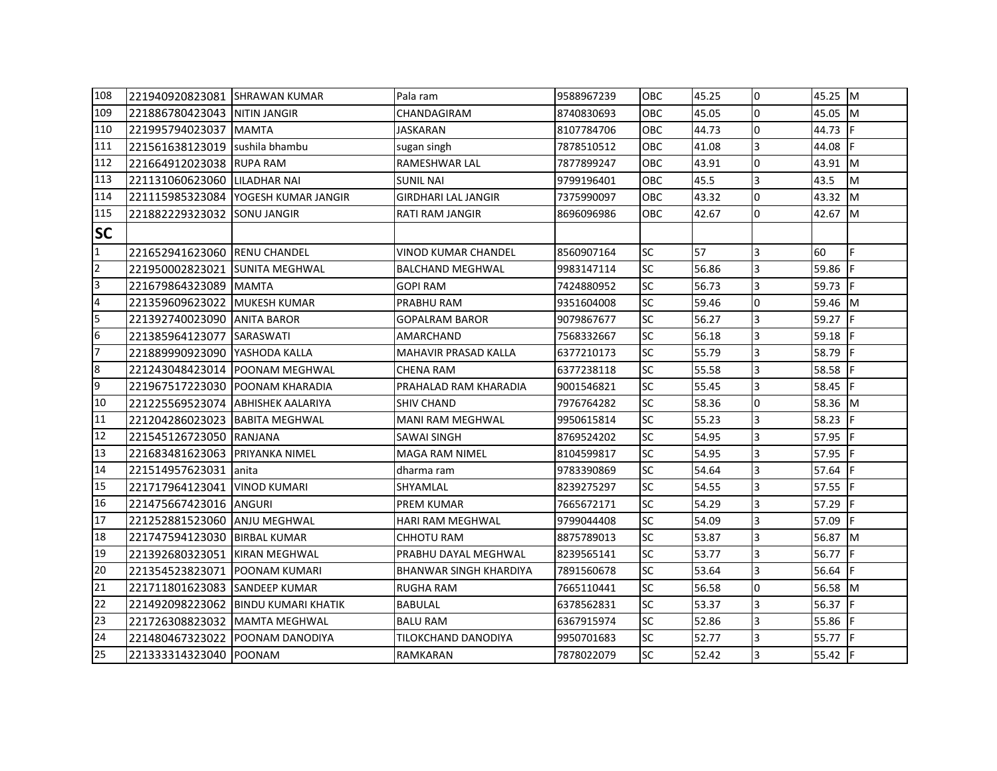| 108            | 221940920823081 SHRAWAN KUMAR     |                                     | Pala ram                      | 9588967239 | OBC        | 45.25 | 0              | 45.25 M   |            |
|----------------|-----------------------------------|-------------------------------------|-------------------------------|------------|------------|-------|----------------|-----------|------------|
| 109            | 221886780423043 INITIN JANGIR     |                                     | CHANDAGIRAM                   | 8740830693 | <b>OBC</b> | 45.05 | 0              | 45.05 M   |            |
| 110            | 221995794023037 MAMTA             |                                     | JASKARAN                      | 8107784706 | OBC        | 44.73 | l0             | 44.73     |            |
| 111            | 221561638123019 sushila bhambu    |                                     | sugan singh                   | 7878510512 | <b>OBC</b> | 41.08 | 3              | 44.08     | IF.        |
| 112            | 221664912023038 RUPA RAM          |                                     | RAMESHWAR LAL                 | 7877899247 | <b>OBC</b> | 43.91 | <sup>o</sup>   | 43.91 M   |            |
| 113            | 221131060623060                   | LILADHAR NAI                        | <b>SUNIL NAI</b>              | 9799196401 | OBC        | 45.5  | 3              | 43.5      | M          |
| 114            |                                   | 221115985323084 YOGESH KUMAR JANGIR | <b>GIRDHARI LAL JANGIR</b>    | 7375990097 | OBC        | 43.32 | l0             | 43.32     | <b>I</b> M |
| 115            | 221882229323032 SONU JANGIR       |                                     | RATI RAM JANGIR               | 8696096986 | <b>OBC</b> | 42.67 | 0              | 42.67 M   |            |
| <b>SC</b>      |                                   |                                     |                               |            |            |       |                |           |            |
| $\mathbf{1}$   | 221652941623060 RENU CHANDEL      |                                     | <b>VINOD KUMAR CHANDEL</b>    | 8560907164 | <b>SC</b>  | 57    | $\overline{3}$ | 60        | F          |
| $\overline{2}$ | 221950002823021                   | <b>SUNITA MEGHWAL</b>               | <b>BALCHAND MEGHWAL</b>       | 9983147114 | <b>SC</b>  | 56.86 | 3              | 59.86     | IF.        |
| 3              | 221679864323089 MAMTA             |                                     | <b>GOPI RAM</b>               | 7424880952 | <b>SC</b>  | 56.73 | 3              | 59.73     | IF.        |
| $\overline{4}$ | 221359609623022 MUKESH KUMAR      |                                     | PRABHU RAM                    | 9351604008 | <b>SC</b>  | 59.46 | <sup>o</sup>   | 59.46 M   |            |
| 5              | 221392740023090 ANITA BAROR       |                                     | GOPALRAM BAROR                | 9079867677 | <b>SC</b>  | 56.27 | 3              | 59.27 F   |            |
| 6              | 221385964123077                   | <b>SARASWATI</b>                    | AMARCHAND                     | 7568332667 | <b>SC</b>  | 56.18 | 3              | $59.18$ F |            |
| 7              | 221889990923090                   | <b>YASHODA KALLA</b>                | <b>MAHAVIR PRASAD KALLA</b>   | 6377210173 | <b>SC</b>  | 55.79 | $\overline{3}$ | 58.79     |            |
| 8              |                                   | 221243048423014 POONAM MEGHWAL      | <b>CHENA RAM</b>              | 6377238118 | <b>SC</b>  | 55.58 | 3              | 58.58     |            |
| 9              | 221967517223030 POONAM KHARADIA   |                                     | PRAHALAD RAM KHARADIA         | 9001546821 | <b>SC</b>  | 55.45 | 3              | 58.45 F   |            |
| 10             | 221225569523074 ABHISHEK AALARIYA |                                     | <b>SHIV CHAND</b>             | 7976764282 | <b>SC</b>  | 58.36 | l0             | 58.36 M   |            |
| 11             | 221204286023023 BABITA MEGHWAL    |                                     | <b>MANI RAM MEGHWAL</b>       | 9950615814 | <b>SC</b>  | 55.23 | 3              | 58.23     |            |
| 12             | 221545126723050 RANJANA           |                                     | <b>SAWAI SINGH</b>            | 8769524202 | <b>SC</b>  | 54.95 | 3              | 57.95     |            |
| 13             | 221683481623063 PRIYANKA NIMEL    |                                     | <b>MAGA RAM NIMEL</b>         | 8104599817 | <b>SC</b>  | 54.95 | 3              | 57.95     |            |
| 14             | 221514957623031 anita             |                                     | dharma ram                    | 9783390869 | <b>SC</b>  | 54.64 | 3              | 57.64     |            |
| 15             | 221717964123041   VINOD KUMARI    |                                     | SHYAMLAL                      | 8239275297 | <b>SC</b>  | 54.55 | 3              | 57.55 F   |            |
| 16             | 221475667423016 ANGURI            |                                     | PREM KUMAR                    | 7665672171 | <b>SC</b>  | 54.29 | 3              | 57.29     |            |
| 17             | 221252881523060                   | <b>ANJU MEGHWAL</b>                 | <b>HARI RAM MEGHWAL</b>       | 9799044408 | <b>SC</b>  | 54.09 | 3              | 57.09     | IF.        |
| 18             | 221747594123030                   | <b>BIRBAL KUMAR</b>                 | <b>CHHOTU RAM</b>             | 8875789013 | <b>SC</b>  | 53.87 | $\overline{3}$ | 56.87 M   |            |
| 19             | 221392680323051                   | <b>KIRAN MEGHWAL</b>                | PRABHU DAYAL MEGHWAL          | 8239565141 | <b>SC</b>  | 53.77 | 3              | 56.77     | IF.        |
| 20             | 221354523823071                   | <b>POONAM KUMARI</b>                | <b>BHANWAR SINGH KHARDIYA</b> | 7891560678 | <b>SC</b>  | 53.64 | 3              | 56.64     | IF         |
| 21             | 221711801623083 SANDEEP KUMAR     |                                     | <b>RUGHA RAM</b>              | 7665110441 | <b>SC</b>  | 56.58 | 0              | 56.58 M   |            |
| 22             | 221492098223062                   | <b>IBINDU KUMARI KHATIK</b>         | BABULAL                       | 6378562831 | <b>SC</b>  | 53.37 | 3              | 56.37 F   |            |
| 23             | 221726308823032   MAMTA MEGHWAL   |                                     | <b>BALU RAM</b>               | 6367915974 | <b>SC</b>  | 52.86 | 3              | 55.86 F   |            |
| 24             | 221480467323022                   | <b>POONAM DANODIYA</b>              | <b>TILOKCHAND DANODIYA</b>    | 9950701683 | <b>SC</b>  | 52.77 | $\overline{3}$ | 55.77 F   |            |
| 25             | 221333314323040 POONAM            |                                     | RAMKARAN                      | 7878022079 | <b>SC</b>  | 52.42 | 3              | 55.42 F   |            |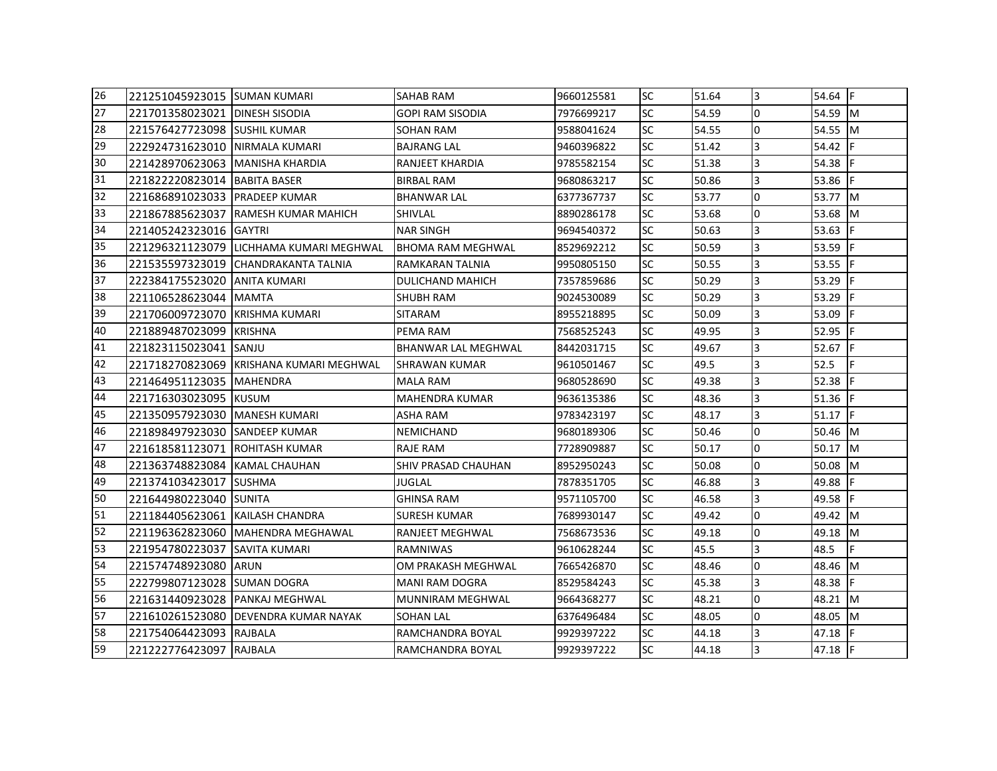| 26 | 1221251045923015 ISUMAN KUMARI    |                                         | <b>SAHAB RAM</b>         | 9660125581 | <b>SC</b> | 51.64 | 3              | 54.64 F     |     |
|----|-----------------------------------|-----------------------------------------|--------------------------|------------|-----------|-------|----------------|-------------|-----|
| 27 | 221701358023021 DINESH SISODIA    |                                         | <b>GOPI RAM SISODIA</b>  | 7976699217 | <b>SC</b> | 54.59 | l0             | 54.59 M     |     |
| 28 | 221576427723098 SUSHIL KUMAR      |                                         | SOHAN RAM                | 9588041624 | <b>SC</b> | 54.55 | $\overline{0}$ | 54.55 M     |     |
| 29 | 222924731623010 INIRMALA KUMARI   |                                         | <b>BAJRANG LAL</b>       | 9460396822 | <b>SC</b> | 51.42 | 3              | 54.42 F     |     |
| 30 | 221428970623063   MANISHA KHARDIA |                                         | RANJEET KHARDIA          | 9785582154 | <b>SC</b> | 51.38 | 3              | 54.38       |     |
| 31 | 221822220823014 BABITA BASER      |                                         | <b>BIRBAL RAM</b>        | 9680863217 | <b>SC</b> | 50.86 | 3              | 53.86       |     |
| 32 | 221686891023033 PRADEEP KUMAR     |                                         | <b>BHANWAR LAL</b>       | 6377367737 | <b>SC</b> | 53.77 | $\overline{0}$ | 53.77 M     |     |
| 33 |                                   | 221867885623037 RAMESH KUMAR MAHICH     | SHIVLAL                  | 8890286178 | <b>SC</b> | 53.68 | l0             | 53.68 M     |     |
| 34 | 221405242323016 GAYTRI            |                                         | <b>NAR SINGH</b>         | 9694540372 | <b>SC</b> | 50.63 | 3              | 53.63       | IF. |
| 35 |                                   | 221296321123079 LICHHAMA KUMARI MEGHWAL | <b>BHOMA RAM MEGHWAL</b> | 8529692212 | <b>SC</b> | 50.59 | 3              | 53.59       |     |
| 36 |                                   | 221535597323019 CHANDRAKANTA TALNIA     | RAMKARAN TALNIA          | 9950805150 | <b>SC</b> | 50.55 | 3              | $53.55$ F   |     |
| 37 | 222384175523020                   | LANITA KUMARI                           | DULICHAND MAHICH         | 7357859686 | <b>SC</b> | 50.29 | 3              | 53.29       |     |
| 38 | 221106528623044 MAMTA             |                                         | SHUBH RAM                | 9024530089 | <b>SC</b> | 50.29 | 3              | 53.29       |     |
| 39 | 221706009723070 KRISHMA KUMARI    |                                         | <b>SITARAM</b>           | 8955218895 | <b>SC</b> | 50.09 | 3              | 53.09       | IF  |
| 40 | 221889487023099 KRISHNA           |                                         | PEMA RAM                 | 7568525243 | <b>SC</b> | 49.95 | 3              | 52.95 F     |     |
| 41 | 221823115023041                   | <b>SANJU</b>                            | BHANWAR LAL MEGHWAL      | 8442031715 | <b>SC</b> | 49.67 | 3              | 52.67 $ F $ |     |
| 42 |                                   | 221718270823069 KRISHANA KUMARI MEGHWAL | <b>SHRAWAN KUMAR</b>     | 9610501467 | <b>SC</b> | 49.5  | 3              | 52.5        |     |
| 43 | 221464951123035 MAHENDRA          |                                         | MALA RAM                 | 9680528690 | <b>SC</b> | 49.38 | 3              | 52.38       |     |
| 44 | 221716303023095 KUSUM             |                                         | <b>MAHENDRA KUMAR</b>    | 9636135386 | <b>SC</b> | 48.36 | 3              | $51.36$ F   |     |
| 45 | 221350957923030 MANESH KUMARI     |                                         | ASHA RAM                 | 9783423197 | <b>SC</b> | 48.17 | 3              | 51.17 F     |     |
| 46 | 221898497923030 SANDEEP KUMAR     |                                         | <b>NEMICHAND</b>         | 9680189306 | <b>SC</b> | 50.46 | 0              | 50.46 M     |     |
| 47 | 221618581123071                   | <b>IROHITASH KUMAR</b>                  | <b>RAJE RAM</b>          | 7728909887 | <b>SC</b> | 50.17 | $\Omega$       | $50.17$ M   |     |
| 48 | 221363748823084 KAMAL CHAUHAN     |                                         | SHIV PRASAD CHAUHAN      | 8952950243 | <b>SC</b> | 50.08 | l0             | 50.08 M     |     |
| 49 | 221374103423017                   | <b>SUSHMA</b>                           | <b>JUGLAL</b>            | 7878351705 | <b>SC</b> | 46.88 | 3              | 49.88       |     |
| 50 | 221644980223040 SUNITA            |                                         | <b>GHINSA RAM</b>        | 9571105700 | <b>SC</b> | 46.58 | $\overline{3}$ | 49.58       | IF. |
| 51 | 221184405623061                   | IKAILASH CHANDRA                        | SURESH KUMAR             | 7689930147 | <b>SC</b> | 49.42 | 0              | 49.42 M     |     |
| 52 |                                   | 221196362823060 MAHENDRA MEGHAWAL       | RANJEET MEGHWAL          | 7568673536 | <b>SC</b> | 49.18 | <sup>o</sup>   | 49.18 M     |     |
| 53 | 221954780223037                   | <b>SAVITA KUMARI</b>                    | RAMNIWAS                 | 9610628244 | <b>SC</b> | 45.5  | 3              | 48.5        |     |
| 54 | 221574748923080                   | <b>ARUN</b>                             | OM PRAKASH MEGHWAL       | 7665426870 | <b>SC</b> | 48.46 | l0             | 48.46 M     |     |
| 55 | 222799807123028 SUMAN DOGRA       |                                         | <b>MANI RAM DOGRA</b>    | 8529584243 | <b>SC</b> | 45.38 | 3              | 48.38       |     |
| 56 | 221631440923028 IPANKAJ MEGHWAL   |                                         | <b>MUNNIRAM MEGHWAL</b>  | 9664368277 | <b>SC</b> | 48.21 | l0             | 48.21 M     |     |
| 57 |                                   | 221610261523080 DEVENDRA KUMAR NAYAK    | <b>SOHAN LAL</b>         | 6376496484 | <b>SC</b> | 48.05 | l0             | 48.05 M     |     |
| 58 | 221754064423093 RAJBALA           |                                         | RAMCHANDRA BOYAL         | 9929397222 | <b>SC</b> | 44.18 | 3              | 47.18       |     |
| 59 | 221222776423097 RAJBALA           |                                         | RAMCHANDRA BOYAL         | 9929397222 | <b>SC</b> | 44.18 | 3              | $47.18$ F   |     |